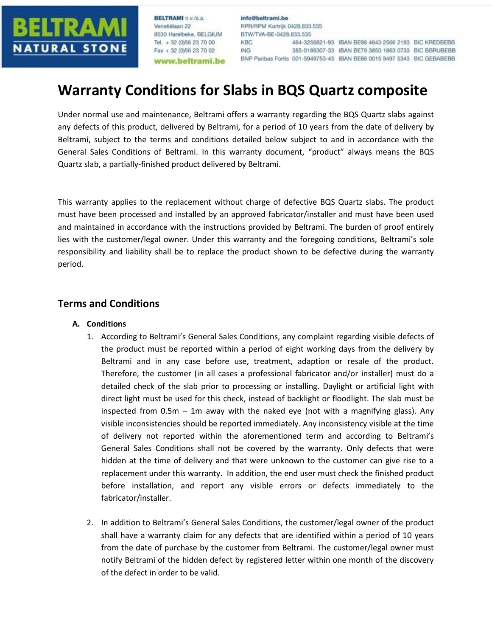

BELTRAMI n v/s a Venetiëlaan 22 8530 Harelbeke, BELGIUM Tel. + 32 (0)56 23 70 00 Fax + 32 (0)56 23 70 02 www.beltrami.be

info@beltrami.be RPR/RPM Kortrijk 0428.833.535 BTW/TVA-BE-0428.833.535 **KBC** 464-3256621-93 IBAN BE98 4643 2566 2193 BIC KREDBEBB **ING** 385-0186307-33 IBAN BE79 3850 1863 0733 BIC BBRUBEBB BNP Paribas Fortis 001-5949753-43 IBAN BE66 0015 9497 5343 BIC GEBABEBB

## **Warranty Conditions for Slabs in BQS Quartz composite**

Under normal use and maintenance, Beltrami offers a warranty regarding the BQS Quartz slabs against any defects of this product, delivered by Beltrami, for a period of 10 years from the date of delivery by Beltrami, subject to the terms and conditions detailed below subject to and in accordance with the General Sales Conditions of Beltrami. In this warranty document, "product" always means the BQS Quartz slab, a partially-finished product delivered by Beltrami.

This warranty applies to the replacement without charge of defective BQS Quartz slabs. The product must have been processed and installed by an approved fabricator/installer and must have been used and maintained in accordance with the instructions provided by Beltrami. The burden of proof entirely lies with the customer/legal owner. Under this warranty and the foregoing conditions, Beltrami's sole responsibility and liability shall be to replace the product shown to be defective during the warranty period.

## **Terms and Conditions**

- **A. Conditions**
	- 1. According to Beltrami's General Sales Conditions, any complaint regarding visible defects of the product must be reported within a period of eight working days from the delivery by Beltrami and in any case before use, treatment, adaption or resale of the product. Therefore, the customer (in all cases a professional fabricator and/or installer) must do a detailed check of the slab prior to processing or installing. Daylight or artificial light with direct light must be used for this check, instead of backlight or floodlight. The slab must be inspected from 0.5m – 1m away with the naked eye (not with a magnifying glass). Any visible inconsistencies should be reported immediately. Any inconsistency visible at the time of delivery not reported within the aforementioned term and according to Beltrami's General Sales Conditions shall not be covered by the warranty. Only defects that were hidden at the time of delivery and that were unknown to the customer can give rise to a replacement under this warranty. In addition, the end user must check the finished product before installation, and report any visible errors or defects immediately to the fabricator/installer.
	- 2. In addition to Beltrami's General Sales Conditions, the customer/legal owner of the product shall have a warranty claim for any defects that are identified within a period of 10 years from the date of purchase by the customer from Beltrami. The customer/legal owner must notify Beltrami of the hidden defect by registered letter within one month of the discovery of the defect in order to be valid.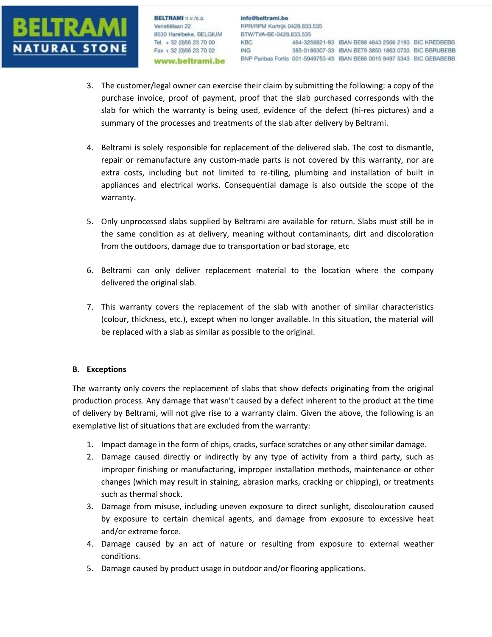

**BELTRAMI** n.v./s.a. Venetiëlaan 22 Venetiëlaan 22<br>8530 Harelbeke, BELGIUM<br>Tel. - 32.0956.22.20.00 Tel. + 32 (0)56 23 70 00 Fax + 32 (0)56 23 70 02 www.beltrami.be

- 3. The customer/legal owner can exercise their claim by submitting the following: a copy of the purchase invoice, proof of payment, proof that the slab purchased corresponds with the slab for which the warranty is being used, evidence of the defect (hi-res pictures) and a summary of the processes and treatments of the slab after delivery by Beltrami.
- 4. Beltrami is solely responsible for replacement of the delivered slab. The cost to dismantle, repair or remanufacture any custom-made parts is not covered by this warranty, nor are extra costs, including but not limited to re-tiling, plumbing and installation of built in appliances and electrical works. Consequential damage is also outside the scope of the warranty.
- 5. Only unprocessed slabs supplied by Beltrami are available for return. Slabs must still be in the same condition as at delivery, meaning without contaminants, dirt and discoloration from the outdoors, damage due to transportation or bad storage, etc
- 6. Beltrami can only deliver replacement material to the location where the company delivered the original slab.
- 7. This warranty covers the replacement of the slab with another of similar characteristics (colour, thickness, etc.), except when no longer available. In this situation, the material will be replaced with a slab as similar as possible to the original.

## **B. Exceptions**

The warranty only covers the replacement of slabs that show defects originating from the original production process. Any damage that wasn't caused by a defect inherent to the product at the time of delivery by Beltrami, will not give rise to a warranty claim. Given the above, the following is an exemplative list of situations that are excluded from the warranty:

- 1. Impact damage in the form of chips, cracks, surface scratches or any other similar damage.
- 2. Damage caused directly or indirectly by any type of activity from a third party, such as improper finishing or manufacturing, improper installation methods, maintenance or other changes (which may result in staining, abrasion marks, cracking or chipping), or treatments such as thermal shock.
- 3. Damage from misuse, including uneven exposure to direct sunlight, discolouration caused by exposure to certain chemical agents, and damage from exposure to excessive heat and/or extreme force.
- 4. Damage caused by an act of nature or resulting from exposure to external weather conditions.
- 5. Damage caused by product usage in outdoor and/or flooring applications.